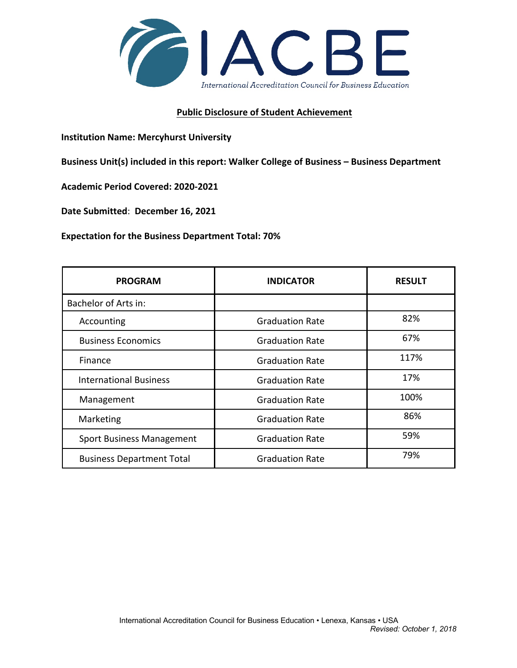

## **Public Disclosure of Student Achievement**

 **Institution Name: Mercyhurst University** 

 **Business Unit(s) included in this report: Walker College of Business – Business Department** 

 **Academic Period Covered: 2020-2021** 

**Date Submitted**: **December 16, 2021** 

**Expectation for the Business Department Total: 70%** 

| <b>PROGRAM</b>                   | <b>INDICATOR</b>       | <b>RESULT</b> |
|----------------------------------|------------------------|---------------|
| Bachelor of Arts in:             |                        |               |
| Accounting                       | <b>Graduation Rate</b> | 82%           |
| <b>Business Economics</b>        | <b>Graduation Rate</b> | 67%           |
| Finance                          | <b>Graduation Rate</b> | 117%          |
| <b>International Business</b>    | <b>Graduation Rate</b> | 17%           |
| Management                       | <b>Graduation Rate</b> | 100%          |
| Marketing                        | <b>Graduation Rate</b> | 86%           |
| <b>Sport Business Management</b> | <b>Graduation Rate</b> | 59%           |
| <b>Business Department Total</b> | <b>Graduation Rate</b> | 79%           |